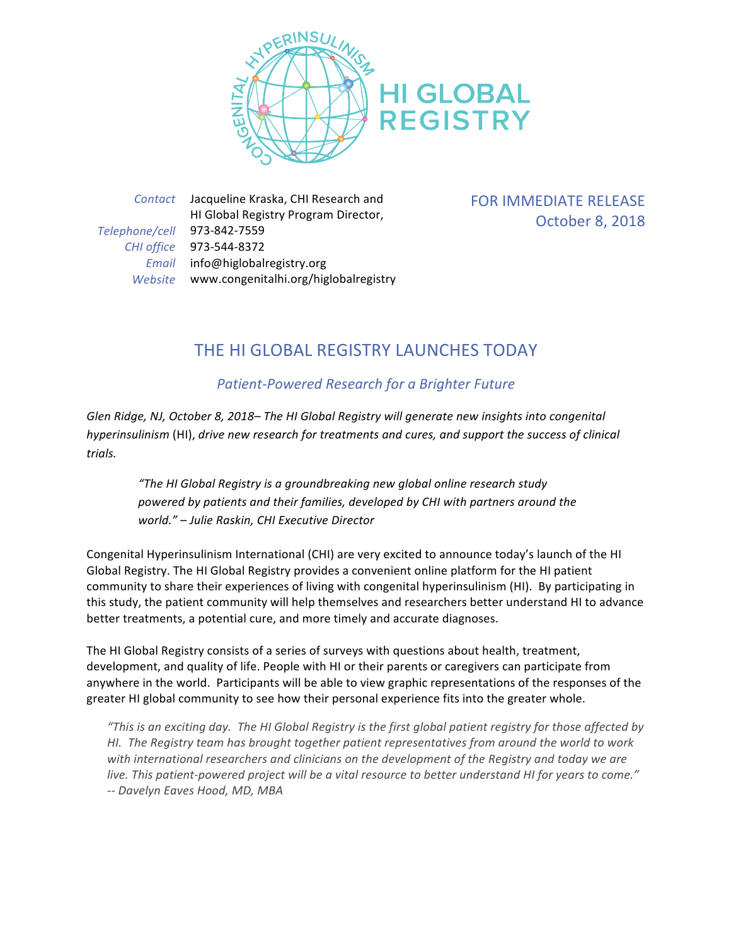

*Contact* Jacqueline Kraska, CHI Research and HI Global Registry Program Director, *Telephone/cell* 973-842-7559 *CHI office* 973-544-8372 *Email* info@higlobalregistry.org *Website* www.congenitalhi.org/higlobalregistry FOR IMMEDIATE RELEASE October 8, 2018

## THE HI GLOBAL REGISTRY LAUNCHES TODAY

## *Patient-Powered Research for a Brighter Future*

Glen Ridge, NJ, October 8, 2018– The HI Global Registry will generate new insights into congenital *hyperinsulinism* (HI), *drive new research for treatments and cures, and support the success of clinical trials.*

"The HI Global Registry is a groundbreaking new global online research study *powered by patients and their families, developed by CHI with partners around the world." – Julie Raskin, CHI Executive Director*

Congenital Hyperinsulinism International (CHI) are very excited to announce today's launch of the HI Global Registry. The HI Global Registry provides a convenient online platform for the HI patient community to share their experiences of living with congenital hyperinsulinism (HI). By participating in this study, the patient community will help themselves and researchers better understand HI to advance better treatments, a potential cure, and more timely and accurate diagnoses.

The HI Global Registry consists of a series of surveys with questions about health, treatment, development, and quality of life. People with HI or their parents or caregivers can participate from anywhere in the world. Participants will be able to view graphic representations of the responses of the greater HI global community to see how their personal experience fits into the greater whole.

*"This* is an exciting day. The HI Global Registry is the first global patient registry for those affected by *HI.* The Registry team has brought together patient representatives from around the world to work with international researchers and clinicians on the development of the Registry and today we are live. This patient-powered project will be a vital resource to better understand HI for years to come." *-- Davelyn Eaves Hood, MD, MBA*